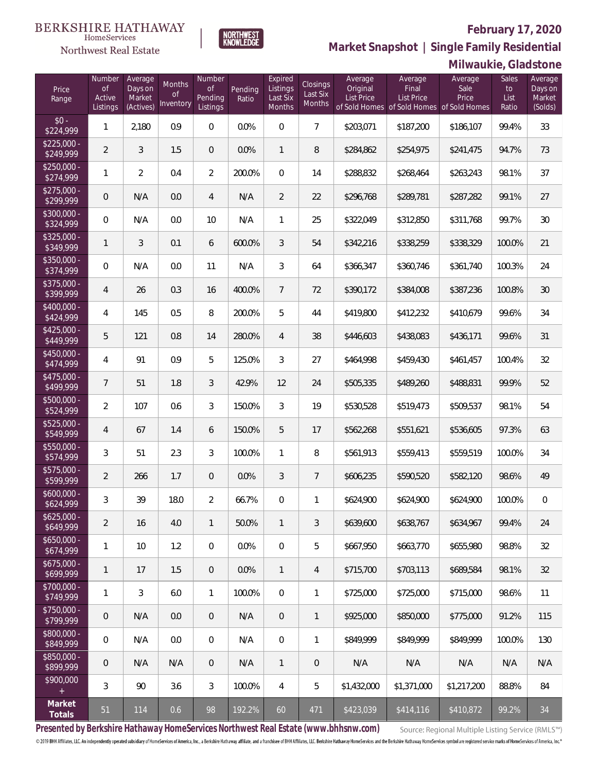### **February 17, 2020**



**Market Snapshot | Single Family Residential**

|                                               |                                           |                                           |                           |                                            |                  |                                                  |                                |                                          |                                                                             | Milwaukie, Gladstone     |                              |                                         |
|-----------------------------------------------|-------------------------------------------|-------------------------------------------|---------------------------|--------------------------------------------|------------------|--------------------------------------------------|--------------------------------|------------------------------------------|-----------------------------------------------------------------------------|--------------------------|------------------------------|-----------------------------------------|
| Price<br>Range                                | Number<br><b>of</b><br>Active<br>Listings | Average<br>Days on<br>Market<br>(Actives) | Months<br>of<br>Inventory | Number<br>$\circ f$<br>Pending<br>Listings | Pending<br>Ratio | Expired<br>Listings<br>Last Six<br><b>Months</b> | Closings<br>Last Six<br>Months | Average<br>Original<br><b>List Price</b> | Average<br>Final<br>List Price<br>of Sold Homes of Sold Homes of Sold Homes | Average<br>Sale<br>Price | Sales<br>to<br>List<br>Ratio | Average<br>Days on<br>Market<br>(Solds) |
| $$0 -$<br>\$224,999                           | 1                                         | 2,180                                     | 0.9                       | $\overline{0}$                             | 0.0%             | $\overline{0}$                                   | $\overline{7}$                 | \$203,071                                | \$187,200                                                                   | \$186,107                | 99.4%                        | 33                                      |
| $$225.000 -$<br>\$249,999                     | $\overline{2}$                            | 3                                         | 1.5                       | $\overline{0}$                             | 0.0%             | $\mathbf{1}$                                     | 8                              | \$284,862                                | \$254,975                                                                   | \$241,475                | 94.7%                        | 73                                      |
| $$250.000 -$<br>\$274,999                     | 1                                         | $\overline{2}$                            | 0.4                       | $\overline{2}$                             | 200.0%           | $\overline{0}$                                   | 14                             | \$288,832                                | \$268,464                                                                   | \$263,243                | 98.1%                        | 37                                      |
| $$275.000 -$<br>\$299,999                     | $\mathbf 0$                               | N/A                                       | 0.0                       | $\overline{4}$                             | N/A              | $\overline{2}$                                   | 22                             | \$296,768                                | \$289,781                                                                   | \$287,282                | 99.1%                        | 27                                      |
| $$300,000 -$<br>\$324,999                     | $\boldsymbol{0}$                          | N/A                                       | 0.0                       | 10                                         | N/A              | 1                                                | 25                             | \$322,049                                | \$312,850                                                                   | \$311,768                | 99.7%                        | 30                                      |
| $$325,000 -$<br>\$349,999                     | 1                                         | 3                                         | 0.1                       | 6                                          | 600.0%           | 3                                                | 54                             | \$342,216                                | \$338,259                                                                   | \$338,329                | 100.0%                       | 21                                      |
| $$350,000 -$<br>\$374,999                     | $\overline{0}$                            | N/A                                       | 0.0                       | 11                                         | N/A              | 3                                                | 64                             | \$366,347                                | \$360,746                                                                   | \$361,740                | 100.3%                       | 24                                      |
| $$375,000 -$<br>\$399,999                     | $\overline{4}$                            | 26                                        | 0.3                       | 16                                         | 400.0%           | $7\overline{ }$                                  | 72                             | \$390,172                                | \$384,008                                                                   | \$387,236                | 100.8%                       | 30                                      |
| $$400,000 -$<br>\$424,999                     | 4                                         | 145                                       | 0.5                       | 8                                          | 200.0%           | 5                                                | 44                             | \$419,800                                | \$412,232                                                                   | \$410,679                | 99.6%                        | 34                                      |
| $$425,000 -$<br>\$449,999                     | 5                                         | 121                                       | 0.8                       | 14                                         | 280.0%           | $\overline{4}$                                   | 38                             | \$446,603                                | \$438,083                                                                   | \$436,171                | 99.6%                        | 31                                      |
| $$450,000 -$<br>\$474,999                     | 4                                         | 91                                        | 0.9                       | 5                                          | 125.0%           | 3                                                | 27                             | \$464,998                                | \$459,430                                                                   | \$461,457                | 100.4%                       | 32                                      |
| $$475,000 -$<br>\$499,999                     | $\overline{7}$                            | 51                                        | 1.8                       | 3                                          | 42.9%            | 12                                               | 24                             | \$505,335                                | \$489,260                                                                   | \$488,831                | 99.9%                        | 52                                      |
| $$500,000 -$<br>\$524,999                     | $\overline{2}$                            | 107                                       | 0.6                       | 3                                          | 150.0%           | 3                                                | 19                             | \$530,528                                | \$519,473                                                                   | \$509,537                | 98.1%                        | 54                                      |
| $$525,000 -$<br>\$549,999                     | $\overline{4}$                            | 67                                        | 1.4                       | 6                                          | 150.0%           | 5                                                | 17                             | \$562,268                                | \$551,621                                                                   | \$536,605                | 97.3%                        | 63                                      |
| $$550,000 -$<br>\$574,999                     | 3                                         | 51                                        | 2.3                       | 3                                          | 100.0%           | $\mathbf{1}$                                     | 8                              | \$561,913                                | \$559,413                                                                   | \$559,519                | 100.0%                       | 34                                      |
| \$575,000 -<br>\$599,999                      | $\overline{2}$                            | 266                                       | 1.7                       | $\overline{0}$                             | 0.0%             | 3                                                | $\overline{7}$                 | \$606,235                                | \$590,520                                                                   | \$582,120                | 98.6%                        | 49                                      |
| $$600,000 -$<br>\$624,999                     | 3                                         | 39                                        | 18.0                      | $\overline{2}$                             | 66.7%            | $\overline{0}$                                   | 1                              | \$624,900                                | \$624,900                                                                   | \$624,900                | 100.0%                       | 0                                       |
| $$625,000 -$<br>\$649,999                     | $\overline{2}$                            | 16                                        | 4.0                       | $\mathbf{1}$                               | 50.0%            | $\mathbf{1}$                                     | 3                              | \$639,600                                | \$638,767                                                                   | \$634,967                | 99.4%                        | 24                                      |
| $$650,000 -$<br>\$674,999                     | 1                                         | 10                                        | 1.2                       | $\overline{0}$                             | 0.0%             | $\overline{0}$                                   | 5                              | \$667,950                                | \$663,770                                                                   | \$655,980                | 98.8%                        | 32                                      |
| \$675,000 -<br>\$699,999                      | 1                                         | 17                                        | 1.5                       | $\overline{0}$                             | 0.0%             | $\mathbf{1}$                                     | 4                              | \$715,700                                | \$703,113                                                                   | \$689,584                | 98.1%                        | 32                                      |
| $$700,000 -$<br>\$749,999                     | 1                                         | 3                                         | 6.0                       | $\mathbf{1}$                               | 100.0%           | $\overline{0}$                                   | 1                              | \$725,000                                | \$725,000                                                                   | \$715,000                | 98.6%                        | 11                                      |
| \$750,000 -<br>\$799,999                      | 0                                         | N/A                                       | 0.0                       | $\overline{0}$                             | N/A              | $\overline{0}$                                   | 1                              | \$925,000                                | \$850,000                                                                   | \$775,000                | 91.2%                        | 115                                     |
| \$800,000 -<br>\$849,999                      | 0                                         | N/A                                       | 0.0                       | $\overline{0}$                             | N/A              | $\overline{0}$                                   | 1                              | \$849,999                                | \$849,999                                                                   | \$849,999                | 100.0%                       | 130                                     |
| \$850,000 -<br>\$899,999                      | 0                                         | N/A                                       | N/A                       | $\overline{0}$                             | N/A              | $\mathbf{1}$                                     | $\mathbf 0$                    | N/A                                      | N/A                                                                         | N/A                      | N/A                          | N/A                                     |
| \$900,000<br>$\begin{array}{c} + \end{array}$ | 3                                         | 90                                        | 3.6                       | 3                                          | 100.0%           | 4                                                | 5                              | \$1,432,000                              | \$1,371,000                                                                 | \$1,217,200              | 88.8%                        | 84                                      |
| Market<br>Totals                              | 51                                        | 114                                       | 0.6                       | 98                                         | 192.2%           | 60                                               | 471                            | \$423,039                                | \$414,116                                                                   | \$410,872                | 99.2%                        | 34                                      |

**Presented by Berkshire Hathaway HomeServices Northwest Real Estate (www.bhhsnw.com)**

Source: Regional Multiple Listing Service (RMLS™)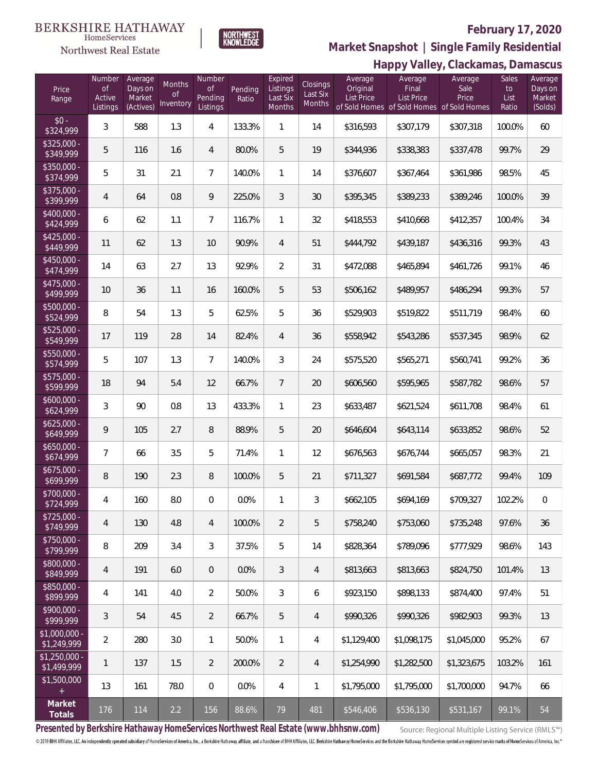### **BERKSHIRE HATHAWAY**  $\label{lem:sevices} \textsc{Home} \textsc{Service} \textsc{s}$

Northwest Real Estate



# **February 17, 2020**

**Happy Valley, Clackamas, Damascus Market Snapshot | Single Family Residential**

|                                      |                                           |                                           |                                         |                                            |                  |                                                  |                                |                                          |                                                                                    | Happy Valley, Claukalilas, Dalliascus |                              |                                         |
|--------------------------------------|-------------------------------------------|-------------------------------------------|-----------------------------------------|--------------------------------------------|------------------|--------------------------------------------------|--------------------------------|------------------------------------------|------------------------------------------------------------------------------------|---------------------------------------|------------------------------|-----------------------------------------|
| Price<br>Range                       | Number<br><b>of</b><br>Active<br>Listings | Average<br>Days on<br>Market<br>(Actives) | <b>Months</b><br><b>of</b><br>Inventory | Number<br>$\circ f$<br>Pending<br>Listings | Pending<br>Ratio | Expired<br>Listings<br>Last Six<br><b>Months</b> | Closings<br>Last Six<br>Months | Average<br>Original<br><b>List Price</b> | Average<br>Final<br><b>List Price</b><br>of Sold Homes of Sold Homes of Sold Homes | Average<br>Sale<br>Price              | Sales<br>to<br>List<br>Ratio | Average<br>Days on<br>Market<br>(Solds) |
| $$0 -$<br>\$324,999                  | 3                                         | 588                                       | 1.3                                     | 4                                          | 133.3%           | 1                                                | 14                             | \$316,593                                | \$307,179                                                                          | \$307,318                             | 100.0%                       | 60                                      |
| $$325,000 -$<br>\$349,999            | 5                                         | 116                                       | 1.6                                     | $\overline{4}$                             | 80.0%            | 5                                                | 19                             | \$344,936                                | \$338,383                                                                          | \$337,478                             | 99.7%                        | 29                                      |
| $$350.000 -$<br>\$374,999            | 5                                         | 31                                        | 2.1                                     | $\overline{7}$                             | 140.0%           | 1                                                | 14                             | \$376,607                                | \$367,464                                                                          | \$361,986                             | 98.5%                        | 45                                      |
| $$375.000 -$<br>\$399,999            | $\overline{4}$                            | 64                                        | 0.8                                     | 9                                          | 225.0%           | 3                                                | 30                             | \$395,345                                | \$389,233                                                                          | \$389,246                             | 100.0%                       | 39                                      |
| $$400,000 -$<br>\$424,999            | 6                                         | 62                                        | 1.1                                     | $\overline{7}$                             | 116.7%           | 1                                                | 32                             | \$418,553                                | \$410,668                                                                          | \$412,357                             | 100.4%                       | 34                                      |
| $$425,000 -$<br>\$449,999            | 11                                        | 62                                        | 1.3                                     | 10                                         | 90.9%            | $\overline{4}$                                   | 51                             | \$444,792                                | \$439,187                                                                          | \$436,316                             | 99.3%                        | 43                                      |
| $$450,000 -$<br>\$474,999            | 14                                        | 63                                        | 2.7                                     | 13                                         | 92.9%            | $\overline{2}$                                   | 31                             | \$472,088                                | \$465,894                                                                          | \$461,726                             | 99.1%                        | 46                                      |
| $$475,000 -$<br>\$499,999            | 10                                        | 36                                        | 1.1                                     | 16                                         | 160.0%           | 5                                                | 53                             | \$506,162                                | \$489,957                                                                          | \$486,294                             | 99.3%                        | 57                                      |
| $$500,000 -$<br>\$524,999            | 8                                         | 54                                        | 1.3                                     | 5                                          | 62.5%            | 5                                                | 36                             | \$529,903                                | \$519,822                                                                          | \$511,719                             | 98.4%                        | 60                                      |
| $$525,000 -$<br>\$549,999            | 17                                        | 119                                       | 2.8                                     | 14                                         | 82.4%            | $\overline{4}$                                   | 36                             | \$558,942                                | \$543,286                                                                          | \$537,345                             | 98.9%                        | 62                                      |
| $$550,000 -$<br>\$574,999            | 5                                         | 107                                       | 1.3                                     | $\overline{7}$                             | 140.0%           | 3                                                | 24                             | \$575,520                                | \$565,271                                                                          | \$560,741                             | 99.2%                        | 36                                      |
| $$575,000 -$<br>\$599,999            | 18                                        | 94                                        | 5.4                                     | 12                                         | 66.7%            | $7\overline{ }$                                  | 20                             | \$606,560                                | \$595,965                                                                          | \$587,782                             | 98.6%                        | 57                                      |
| $$600,000 -$<br>\$624,999            | 3                                         | 90                                        | 0.8                                     | 13                                         | 433.3%           | 1                                                | 23                             | \$633,487                                | \$621,524                                                                          | \$611,708                             | 98.4%                        | 61                                      |
| $$625,000 -$<br>\$649,999            | 9                                         | 105                                       | 2.7                                     | 8                                          | 88.9%            | 5                                                | 20                             | \$646,604                                | \$643,114                                                                          | \$633,852                             | 98.6%                        | 52                                      |
| $$650,000 -$<br>\$674,999            | $\overline{7}$                            | 66                                        | 3.5                                     | 5                                          | 71.4%            | 1                                                | 12                             | \$676,563                                | \$676,744                                                                          | \$665,057                             | 98.3%                        | 21                                      |
| $$675,000 -$<br>\$699,999            | 8                                         | 190                                       | 2.3                                     | 8                                          | 100.0%           | 5                                                | 21                             | \$711,327                                | \$691,584                                                                          | \$687,772                             | 99.4%                        | 109                                     |
| $$700,000 -$<br>\$724,999            | $\overline{4}$                            | 160                                       | $8.0\,$                                 | 0                                          | 0.0%             | 1                                                | 3                              | \$662,105                                | \$694,169                                                                          | \$709,327                             | 102.2%                       | 0                                       |
| \$725,000 -<br>\$749,999             | 4                                         | 130                                       | 4.8                                     | $\overline{4}$                             | 100.0%           | $\overline{2}$                                   | 5                              | \$758,240                                | \$753,060                                                                          | \$735,248                             | 97.6%                        | 36                                      |
| \$750,000 -<br>\$799,999             | 8                                         | 209                                       | 3.4                                     | 3                                          | 37.5%            | 5                                                | 14                             | \$828,364                                | \$789,096                                                                          | \$777,929                             | 98.6%                        | 143                                     |
| \$800,000 -<br>\$849,999             | 4                                         | 191                                       | 6.0                                     | $\overline{0}$                             | 0.0%             | 3                                                | 4                              | \$813,663                                | \$813,663                                                                          | \$824,750                             | 101.4%                       | 13                                      |
| \$850,000 -<br>\$899,999             | 4                                         | 141                                       | 4.0                                     | $\overline{2}$                             | 50.0%            | $\mathfrak{Z}$                                   | 6                              | \$923,150                                | \$898,133                                                                          | \$874,400                             | 97.4%                        | 51                                      |
| $$900,000 -$<br>\$999,999            | 3                                         | 54                                        | 4.5                                     | $\overline{2}$                             | 66.7%            | 5                                                | $\overline{4}$                 | \$990,326                                | \$990,326                                                                          | \$982,903                             | 99.3%                        | 13                                      |
| \$1,000,000 -<br>$\sqrt{$1,249,999}$ | $\overline{a}$                            | 280                                       | 3.0                                     | $\mathbf{1}$                               | 50.0%            | $\mathbf{1}$                                     | 4                              | \$1,129,400                              | \$1,098,175                                                                        | \$1,045,000                           | 95.2%                        | 67                                      |
| $$1,250,000$ -<br>\$1,499,999        | $\mathbf{1}$                              | 137                                       | 1.5                                     | 2                                          | 200.0%           | $\overline{2}$                                   | 4                              | \$1,254,990                              | \$1,282,500                                                                        | \$1,323,675                           | 103.2%                       | 161                                     |
| \$1,500,000<br>$+$                   | 13                                        | 161                                       | 78.0                                    | $\overline{0}$                             | 0.0%             | 4                                                | 1                              | \$1,795,000                              | \$1,795,000                                                                        | \$1,700,000                           | 94.7%                        | 66                                      |
| Market<br>Totals                     | 176                                       | 114                                       | 2.2                                     | 156                                        | 88.6%            | 79                                               | 481                            | \$546,406                                | \$536,130                                                                          | \$531,167                             | 99.1%                        | 54                                      |

**Presented by Berkshire Hathaway HomeServices Northwest Real Estate (www.bhhsnw.com)**

Source: Regional Multiple Listing Service (RMLS™)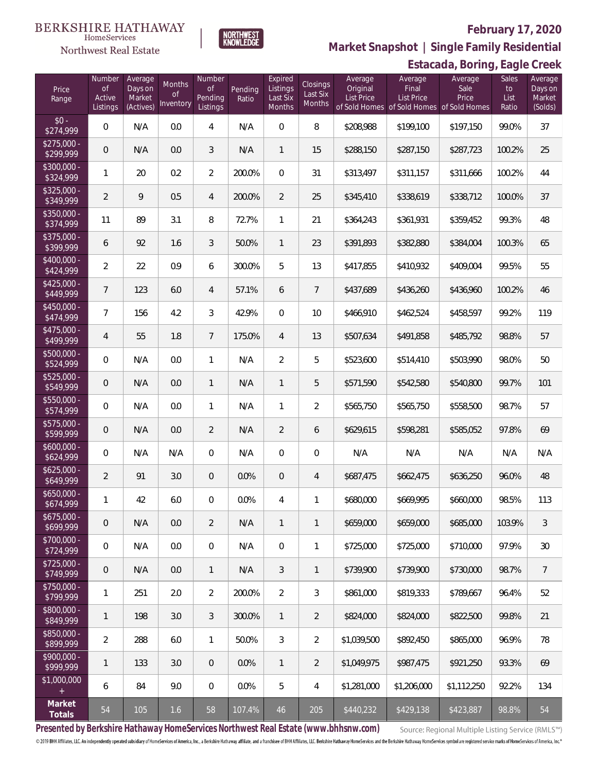# Northwest Real Estate

# **February 17, 2020**



**Market Snapshot | Single Family Residential**

# **Estacada, Boring, Eagle Creek**

| Price<br>Range            | Number<br><b>of</b><br>Active<br>Listings | Average<br>Days on<br>Market<br>(Actives) | Months<br><b>of</b><br>Inventory | Number<br><b>of</b><br>Pending<br>Listings | Pending<br>Ratio | Expired<br>Listings<br>Last Six<br>Months | Closings<br>Last Six<br>Months | Average<br>Original<br>List Price | Average<br>Final<br>List Price<br>of Sold Homes of Sold Homes | Average<br>Sale<br>Price<br>of Sold Homes | Sales<br>to<br>List<br>Ratio | Average<br>Days on<br>Market<br>(Solds) |
|---------------------------|-------------------------------------------|-------------------------------------------|----------------------------------|--------------------------------------------|------------------|-------------------------------------------|--------------------------------|-----------------------------------|---------------------------------------------------------------|-------------------------------------------|------------------------------|-----------------------------------------|
| $$0 -$<br>\$274,999       | $\overline{0}$                            | N/A                                       | 0.0                              | $\overline{4}$                             | N/A              | $\mathbf{0}$                              | 8                              | \$208,988                         | \$199,100                                                     | \$197,150                                 | 99.0%                        | 37                                      |
| $$275,000 -$<br>\$299,999 | $\overline{0}$                            | N/A                                       | 0.0                              | 3                                          | N/A              | $\mathbf{1}$                              | 15                             | \$288,150                         | \$287,150                                                     | \$287,723                                 | 100.2%                       | 25                                      |
| $$300,000 -$<br>\$324,999 | 1                                         | 20                                        | 0.2                              | $\overline{2}$                             | 200.0%           | $\overline{0}$                            | 31                             | \$313,497                         | \$311,157                                                     | \$311,666                                 | 100.2%                       | 44                                      |
| $$325,000 -$<br>\$349,999 | $\overline{2}$                            | 9                                         | 0.5                              | $\overline{4}$                             | 200.0%           | $\overline{2}$                            | 25                             | \$345,410                         | \$338,619                                                     | \$338,712                                 | 100.0%                       | 37                                      |
| $$350,000 -$<br>\$374,999 | 11                                        | 89                                        | 3.1                              | 8                                          | 72.7%            | $\mathbf{1}$                              | 21                             | \$364,243                         | \$361,931                                                     | \$359,452                                 | 99.3%                        | 48                                      |
| $$375,000 -$<br>\$399,999 | 6                                         | 92                                        | 1.6                              | 3                                          | 50.0%            | $\mathbf{1}$                              | 23                             | \$391,893                         | \$382,880                                                     | \$384,004                                 | 100.3%                       | 65                                      |
| $$400,000 -$<br>\$424,999 | $\overline{2}$                            | 22                                        | 0.9                              | 6                                          | 300.0%           | 5                                         | 13                             | \$417,855                         | \$410,932                                                     | \$409,004                                 | 99.5%                        | 55                                      |
| $$425,000 -$<br>\$449,999 | $\overline{7}$                            | 123                                       | 6.0                              | 4                                          | 57.1%            | 6                                         | $\overline{7}$                 | \$437,689                         | \$436,260                                                     | \$436,960                                 | 100.2%                       | 46                                      |
| $$450,000 -$<br>\$474,999 | $\overline{7}$                            | 156                                       | 4.2                              | 3                                          | 42.9%            | $\mathbf 0$                               | 10                             | \$466,910                         | \$462,524                                                     | \$458,597                                 | 99.2%                        | 119                                     |
| $$475,000 -$<br>\$499,999 | $\overline{4}$                            | 55                                        | 1.8                              | $\overline{7}$                             | 175.0%           | $\overline{4}$                            | 13                             | \$507,634                         | \$491,858                                                     | \$485,792                                 | 98.8%                        | 57                                      |
| \$500,000 -<br>\$524,999  | $\mathbf 0$                               | N/A                                       | 0.0                              | $\mathbf{1}$                               | N/A              | $\overline{2}$                            | 5                              | \$523,600                         | \$514,410                                                     | \$503,990                                 | 98.0%                        | 50                                      |
| \$525,000 -<br>\$549,999  | $\overline{0}$                            | N/A                                       | 0.0                              | $\mathbf{1}$                               | N/A              | $\mathbf{1}$                              | 5                              | \$571,590                         | \$542,580                                                     | \$540,800                                 | 99.7%                        | 101                                     |
| $$550,000 -$<br>\$574,999 | $\mathbf 0$                               | N/A                                       | 0.0                              | $\mathbf{1}$                               | N/A              | $\mathbf{1}$                              | $\overline{2}$                 | \$565,750                         | \$565,750                                                     | \$558,500                                 | 98.7%                        | 57                                      |
| $$575,000 -$<br>\$599,999 | $\overline{0}$                            | N/A                                       | 0.0                              | $\overline{2}$                             | N/A              | $\overline{2}$                            | 6                              | \$629,615                         | \$598,281                                                     | \$585,052                                 | 97.8%                        | 69                                      |
| $$600,000 -$<br>\$624,999 | $\mathbf 0$                               | N/A                                       | N/A                              | $\overline{0}$                             | N/A              | $\overline{0}$                            | $\mathbf 0$                    | N/A                               | N/A                                                           | N/A                                       | N/A                          | N/A                                     |
| $$625,000 -$<br>\$649,999 | $\overline{2}$                            | 91                                        | 3.0                              | $\overline{0}$                             | 0.0%             | $\overline{0}$                            | 4                              | \$687,475                         | \$662,475                                                     | \$636,250                                 | 96.0%                        | 48                                      |
| $$650,000 -$<br>\$674,999 | 1                                         | 42                                        | 6.0                              | $\overline{0}$                             | 0.0%             | $\overline{4}$                            | 1                              | \$680,000                         | \$669,995                                                     | \$660,000                                 | 98.5%                        | 113                                     |
| $$675,000 -$<br>\$699,999 | 0                                         | N/A                                       | 0.0                              | 2                                          | N/A              | $\mathbf{1}$                              | $\mathbf{1}$                   | \$659,000                         | \$659,000                                                     | \$685,000                                 | 103.9%                       | $\mathfrak{Z}$                          |
| $$700,000 -$<br>\$724,999 | $\mathbf 0$                               | N/A                                       | 0.0                              | $\overline{0}$                             | N/A              | $\overline{0}$                            | 1                              | \$725,000                         | \$725,000                                                     | \$710,000                                 | 97.9%                        | 30                                      |
| $$725,000 -$<br>\$749,999 | $\boldsymbol{0}$                          | N/A                                       | 0.0                              | $\mathbf{1}$                               | N/A              | 3                                         | 1                              | \$739,900                         | \$739,900                                                     | \$730,000                                 | 98.7%                        | $\overline{7}$                          |
| $$750,000 -$<br>\$799,999 | $\mathbf{1}$                              | 251                                       | 2.0                              | 2                                          | 200.0%           | $\overline{2}$                            | 3                              | \$861,000                         | \$819,333                                                     | \$789,667                                 | 96.4%                        | 52                                      |
| $$800,000 -$<br>\$849,999 | $\mathbf{1}$                              | 198                                       | 3.0                              | 3                                          | 300.0%           | $\mathbf{1}$                              | $\overline{2}$                 | \$824,000                         | \$824,000                                                     | \$822,500                                 | 99.8%                        | 21                                      |
| \$850,000 -<br>\$899,999  | $\overline{2}$                            | 288                                       | 6.0                              | 1                                          | 50.0%            | 3                                         | $\overline{2}$                 | \$1,039,500                       | \$892,450                                                     | \$865,000                                 | 96.9%                        | 78                                      |
| \$900,000 -<br>\$999,999  | $\mathbf{1}$                              | 133                                       | 3.0                              | $\overline{0}$                             | 0.0%             | $\mathbf{1}$                              | $\overline{2}$                 | \$1,049,975                       | \$987,475                                                     | \$921,250                                 | 93.3%                        | 69                                      |
| \$1,000,000<br>$+$        | 6                                         | 84                                        | 9.0                              | $\overline{0}$                             | $0.0\%$          | 5                                         | 4                              | \$1,281,000                       | \$1,206,000                                                   | \$1,112,250                               | 92.2%                        | 134                                     |
| Market<br>Totals          | 54                                        | 105                                       | 1.6                              | 58                                         | 107.4%           | 46                                        | 205                            | \$440,232                         | \$429,138                                                     | \$423,887                                 | 98.8%                        | 54                                      |

**Presented by Berkshire Hathaway HomeServices Northwest Real Estate (www.bhhsnw.com)**

Source: Regional Multiple Listing Service (RMLS™)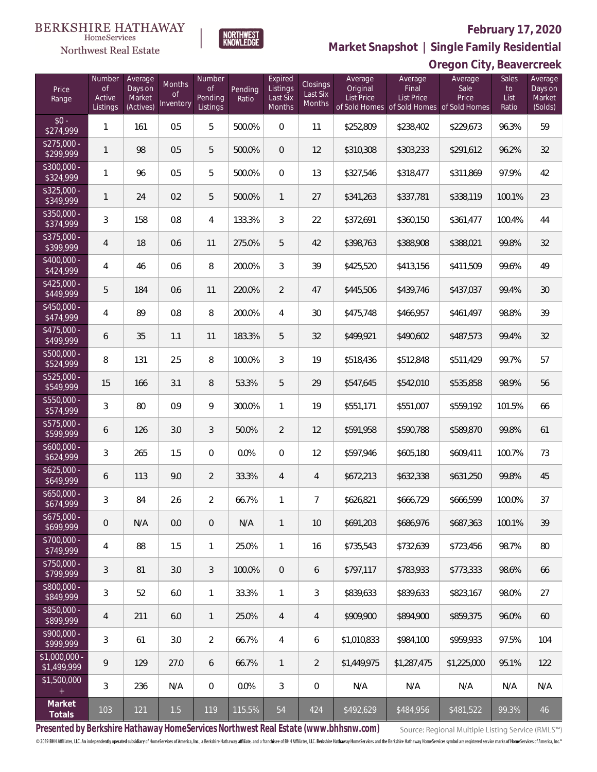### **BERKSHIRE HATHAWAY**  $\label{lem:sevices} \textsc{Home} \textsc{Service} \textsc{s}$

# Northwest Real Estate



**Oregon City, Beavercreek Market Snapshot | Single Family Residential**

| Price<br>Range                | Number<br>$\mathsf{of}$<br>Active<br>Listings | Average<br>Days on<br>Market<br>(Actives) | Months<br>0f<br>Inventory | Number<br>Οf<br>Pending<br>Listings | Pending<br>Ratio | Expired<br>Listings<br>Last Six<br>Months | Closings<br>Last Six<br>Months | Average<br>Original<br><b>List Price</b> | Average<br>Final<br><b>List Price</b><br>of Sold Homes of Sold Homes of Sold Homes | Average<br>Sale<br>Price | Sales<br>to<br>List<br>Ratio | Average<br>Days on<br>Market<br>(Solds) |
|-------------------------------|-----------------------------------------------|-------------------------------------------|---------------------------|-------------------------------------|------------------|-------------------------------------------|--------------------------------|------------------------------------------|------------------------------------------------------------------------------------|--------------------------|------------------------------|-----------------------------------------|
| $$0 -$<br>\$274,999           | 1                                             | 161                                       | 0.5                       | 5                                   | 500.0%           | $\overline{0}$                            | 11                             | \$252,809                                | \$238,402                                                                          | \$229,673                | 96.3%                        | 59                                      |
| $$275,000 -$<br>\$299,999     | 1                                             | 98                                        | 0.5                       | 5                                   | 500.0%           | $\overline{0}$                            | 12                             | \$310,308                                | \$303,233                                                                          | \$291,612                | 96.2%                        | 32                                      |
| \$300,000 -<br>\$324,999      | 1                                             | 96                                        | 0.5                       | 5                                   | 500.0%           | $\mathbf{0}$                              | 13                             | \$327,546                                | \$318,477                                                                          | \$311,869                | 97.9%                        | 42                                      |
| $$325,000 -$<br>\$349,999     | 1                                             | 24                                        | 0.2                       | 5                                   | 500.0%           | $\mathbf{1}$                              | 27                             | \$341,263                                | \$337,781                                                                          | \$338,119                | 100.1%                       | 23                                      |
| $$350,000 -$<br>\$374,999     | 3                                             | 158                                       | 0.8                       | 4                                   | 133.3%           | 3                                         | 22                             | \$372,691                                | \$360,150                                                                          | \$361,477                | 100.4%                       | 44                                      |
| $$375,000 -$<br>\$399,999     | 4                                             | 18                                        | 0.6                       | 11                                  | 275.0%           | 5                                         | 42                             | \$398,763                                | \$388,908                                                                          | \$388,021                | 99.8%                        | 32                                      |
| $$400.000 -$<br>\$424,999     | 4                                             | 46                                        | 0.6                       | 8                                   | 200.0%           | 3                                         | 39                             | \$425,520                                | \$413,156                                                                          | \$411,509                | 99.6%                        | 49                                      |
| $$425,000 -$<br>\$449,999     | 5                                             | 184                                       | 0.6                       | 11                                  | 220.0%           | $\overline{2}$                            | 47                             | \$445,506                                | \$439,746                                                                          | \$437,037                | 99.4%                        | 30                                      |
| $$450.000 -$<br>\$474,999     | 4                                             | 89                                        | 0.8                       | $\, 8$                              | 200.0%           | 4                                         | 30                             | \$475,748                                | \$466,957                                                                          | \$461,497                | 98.8%                        | 39                                      |
| $$475,000 -$<br>\$499,999     | 6                                             | 35                                        | 1.1                       | 11                                  | 183.3%           | 5                                         | 32                             | \$499,921                                | \$490,602                                                                          | \$487,573                | 99.4%                        | 32                                      |
| $$500,000 -$<br>\$524,999     | 8                                             | 131                                       | 2.5                       | 8                                   | 100.0%           | 3                                         | 19                             | \$518,436                                | \$512,848                                                                          | \$511,429                | 99.7%                        | 57                                      |
| $$525,000 -$<br>\$549,999     | 15                                            | 166                                       | 3.1                       | 8                                   | 53.3%            | 5                                         | 29                             | \$547,645                                | \$542,010                                                                          | \$535,858                | 98.9%                        | 56                                      |
| $$550,000 -$<br>\$574,999     | 3                                             | 80                                        | 0.9                       | 9                                   | 300.0%           | 1                                         | 19                             | \$551,171                                | \$551,007                                                                          | \$559,192                | 101.5%                       | 66                                      |
| \$575,000 -<br>\$599,999      | 6                                             | 126                                       | 3.0                       | 3                                   | 50.0%            | $\overline{2}$                            | 12                             | \$591,958                                | \$590,788                                                                          | \$589,870                | 99.8%                        | 61                                      |
| $$600,000 -$<br>\$624,999     | 3                                             | 265                                       | 1.5                       | $\overline{0}$                      | 0.0%             | $\overline{0}$                            | 12                             | \$597,946                                | \$605,180                                                                          | \$609,411                | 100.7%                       | 73                                      |
| $$625,000 -$<br>\$649,999     | 6                                             | 113                                       | 9.0                       | $\overline{2}$                      | 33.3%            | $\overline{4}$                            | 4                              | \$672,213                                | \$632,338                                                                          | \$631,250                | 99.8%                        | 45                                      |
| $$650,000 -$<br>\$674,999     | 3                                             | 84                                        | 2.6                       | $\overline{2}$                      | 66.7%            | 1                                         | 7                              | \$626,821                                | \$666,729                                                                          | \$666,599                | 100.0%                       | 37                                      |
| $$675,000 -$<br>\$699,999     | 0                                             | N/A                                       | 0.0                       | $\overline{0}$                      | N/A              | $\mathbf{1}$                              | 10                             | \$691,203                                | \$686,976                                                                          | \$687,363                | 100.1%                       | 39                                      |
| \$700,000 -<br>\$749,999      | 4                                             | 88                                        | 1.5                       | $\mathbf{1}$                        | 25.0%            | $\mathbf{1}$                              | 16                             | \$735,543                                | \$732,639                                                                          | \$723,456                | 98.7%                        | 80                                      |
| \$750,000 -<br>\$799,999      | 3                                             | 81                                        | 3.0                       | 3                                   | 100.0%           | $\overline{0}$                            | 6                              | \$797,117                                | \$783.933                                                                          | \$773,333                | 98.6%                        | 66                                      |
| \$800,000 -<br>\$849,999      | 3                                             | 52                                        | 6.0                       | $\mathbf{1}$                        | 33.3%            | $\mathbf{1}$                              | 3                              | \$839,633                                | \$839.633                                                                          | \$823,167                | 98.0%                        | 27                                      |
| \$850,000 -<br>\$899,999      | 4                                             | 211                                       | 6.0                       | $\mathbf{1}$                        | 25.0%            | $\overline{4}$                            | 4                              | \$909,900                                | \$894,900                                                                          | \$859,375                | 96.0%                        | 60                                      |
| \$900,000 -<br>\$999,999      | 3                                             | 61                                        | 3.0                       | $\overline{2}$                      | 66.7%            | $\overline{4}$                            | 6                              | \$1,010,833                              | \$984,100                                                                          | \$959,933                | 97.5%                        | 104                                     |
| $$1,000,000 -$<br>\$1,499,999 | 9                                             | 129                                       | 27.0                      | 6                                   | 66.7%            | $\mathbf{1}$                              | 2                              | \$1,449,975                              | \$1,287,475                                                                        | \$1,225,000              | 95.1%                        | 122                                     |
| \$1,500,000                   | 3                                             | 236                                       | N/A                       | $\boldsymbol{0}$                    | 0.0%             | 3                                         | 0                              | N/A                                      | N/A                                                                                | N/A                      | N/A                          | N/A                                     |
| Market<br>Totals              | 103                                           | 121                                       | 1.5                       | 119                                 | 115.5%           | 54                                        | 424                            | \$492,629                                | \$484,956                                                                          | \$481,522                | 99.3%                        | 46                                      |

NORTHWEST<br>KNOWLFDGF

**Presented by Berkshire Hathaway HomeServices Northwest Real Estate (www.bhhsnw.com)**

Source: Regional Multiple Listing Service (RMLS™)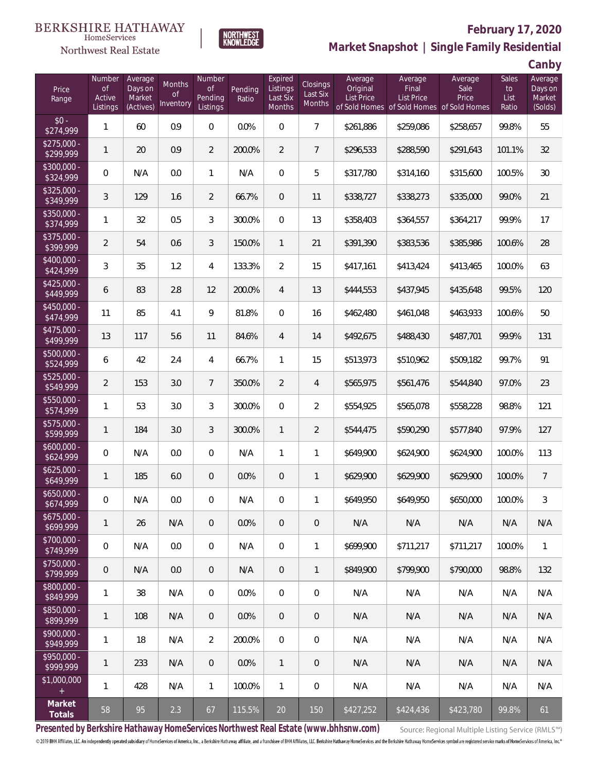



# **February 17, 2020**

**Market Snapshot | Single Family Residential**

**Canby**

| Price<br>Range            | Number<br><b>of</b><br>Active<br>Listings | Average<br>Days on<br>Market<br>(Actives) | Months<br><sub>of</sub><br>Inventory | Number<br><b>of</b><br>Pending<br>Listings | Pending<br>Ratio | Expired<br>Listings<br>Last Six<br>Months | Closings<br>Last Six<br><b>Months</b> | Average<br>Original<br><b>List Price</b> | Average<br>Final<br>List Price<br>of Sold Homes of Sold Homes | Average<br>Sale<br>Price<br>of Sold Homes | Sales<br>to<br>List<br>Ratio | . . – <u>.</u><br>Average<br>Days on<br>Market<br>(Solds) |
|---------------------------|-------------------------------------------|-------------------------------------------|--------------------------------------|--------------------------------------------|------------------|-------------------------------------------|---------------------------------------|------------------------------------------|---------------------------------------------------------------|-------------------------------------------|------------------------------|-----------------------------------------------------------|
| $$0 -$<br>\$274,999       | $\mathbf{1}$                              | 60                                        | 0.9                                  | $\boldsymbol{0}$                           | 0.0%             | 0                                         | $\overline{7}$                        | \$261,886                                | \$259,086                                                     | \$258,657                                 | 99.8%                        | 55                                                        |
| $$275,000 -$<br>\$299,999 | 1                                         | 20                                        | 0.9                                  | $\overline{2}$                             | 200.0%           | $\overline{2}$                            | $\overline{7}$                        | \$296,533                                | \$288,590                                                     | \$291,643                                 | 101.1%                       | 32                                                        |
| \$300,000 -<br>\$324,999  | $\mathbf 0$                               | N/A                                       | 0.0                                  | $\mathbf{1}$                               | N/A              | 0                                         | 5                                     | \$317,780                                | \$314,160                                                     | \$315,600                                 | 100.5%                       | 30                                                        |
| \$325,000 -<br>\$349,999  | 3                                         | 129                                       | 1.6                                  | $\overline{2}$                             | 66.7%            | 0                                         | 11                                    | \$338,727                                | \$338,273                                                     | \$335,000                                 | 99.0%                        | 21                                                        |
| \$350,000 -<br>\$374,999  | $\mathbf{1}$                              | 32                                        | 0.5                                  | $\mathfrak{Z}$                             | 300.0%           | 0                                         | 13                                    | \$358,403                                | \$364,557                                                     | \$364,217                                 | 99.9%                        | 17                                                        |
| \$375,000 -<br>\$399,999  | $\overline{2}$                            | 54                                        | 0.6                                  | 3                                          | 150.0%           | $\mathbf{1}$                              | 21                                    | \$391,390                                | \$383,536                                                     | \$385,986                                 | 100.6%                       | 28                                                        |
| $$400,000 -$<br>\$424,999 | 3                                         | 35                                        | 1.2                                  | 4                                          | 133.3%           | $\overline{2}$                            | 15                                    | \$417,161                                | \$413,424                                                     | \$413,465                                 | 100.0%                       | 63                                                        |
| $$425,000 -$<br>\$449,999 | 6                                         | 83                                        | 2.8                                  | 12                                         | 200.0%           | $\overline{4}$                            | 13                                    | \$444,553                                | \$437,945                                                     | \$435,648                                 | 99.5%                        | 120                                                       |
| $$450,000 -$<br>\$474,999 | 11                                        | 85                                        | 4.1                                  | 9                                          | 81.8%            | 0                                         | 16                                    | \$462,480                                | \$461,048                                                     | \$463,933                                 | 100.6%                       | 50                                                        |
| \$475,000 -<br>\$499,999  | 13                                        | 117                                       | 5.6                                  | 11                                         | 84.6%            | $\overline{4}$                            | 14                                    | \$492,675                                | \$488,430                                                     | \$487,701                                 | 99.9%                        | 131                                                       |
| \$500,000 -<br>\$524,999  | 6                                         | 42                                        | 2.4                                  | 4                                          | 66.7%            | $\mathbf{1}$                              | 15                                    | \$513,973                                | \$510,962                                                     | \$509,182                                 | 99.7%                        | 91                                                        |
| \$525,000 -<br>\$549,999  | $\overline{2}$                            | 153                                       | 3.0                                  | $\overline{7}$                             | 350.0%           | $\overline{2}$                            | 4                                     | \$565,975                                | \$561,476                                                     | \$544,840                                 | 97.0%                        | 23                                                        |
| $$550,000 -$<br>\$574,999 | $\mathbf{1}$                              | 53                                        | 3.0                                  | 3                                          | 300.0%           | 0                                         | $\overline{2}$                        | \$554,925                                | \$565,078                                                     | \$558,228                                 | 98.8%                        | 121                                                       |
| \$575,000 -<br>\$599,999  | 1                                         | 184                                       | 3.0                                  | 3                                          | 300.0%           | $\mathbf{1}$                              | $\overline{2}$                        | \$544,475                                | \$590,290                                                     | \$577,840                                 | 97.9%                        | 127                                                       |
| $$600,000 -$<br>\$624,999 | $\mathbf 0$                               | N/A                                       | 0.0                                  | $\boldsymbol{0}$                           | N/A              | $\mathbf{1}$                              | 1                                     | \$649,900                                | \$624,900                                                     | \$624,900                                 | 100.0%                       | 113                                                       |
| $$625,000 -$<br>\$649,999 | $\mathbf{1}$                              | 185                                       | 6.0                                  | $\mathbf 0$                                | 0.0%             | 0                                         | $\mathbf{1}$                          | \$629,900                                | \$629,900                                                     | \$629,900                                 | 100.0%                       | $\overline{7}$                                            |
| $$650,000 -$<br>\$674,999 | $\mathbf 0$                               | N/A                                       | 0.0                                  | 0                                          | N/A              | 0                                         | 1                                     | \$649,950                                | \$649,950                                                     | \$650,000                                 | 100.0%                       | 3                                                         |
| $$675,000 -$<br>\$699,999 | $\mathbf{1}$                              | 26                                        | N/A                                  | $\overline{0}$                             | 0.0%             | $\mathbf 0$                               | 0                                     | N/A                                      | N/A                                                           | N/A                                       | N/A                          | N/A                                                       |
| \$700,000 -<br>\$749,999  | $\mathbf 0$                               | N/A                                       | 0.0                                  | $\overline{0}$                             | N/A              | 0                                         | 1                                     | \$699,900                                | \$711,217                                                     | \$711,217                                 | 100.0%                       | $\overline{1}$                                            |
| $$750,000 -$<br>\$799,999 | $\mathbf 0$                               | N/A                                       | 0.0                                  | $\theta$                                   | N/A              | 0                                         | $\mathbf{1}$                          | \$849,900                                | \$799,900                                                     | \$790,000                                 | 98.8%                        | 132                                                       |
| \$800,000 -<br>\$849,999  | $\mathbf{1}$                              | 38                                        | N/A                                  | $\boldsymbol{0}$                           | 0.0%             | 0                                         | $\boldsymbol{0}$                      | N/A                                      | N/A                                                           | N/A                                       | N/A                          | N/A                                                       |
| \$850,000 -<br>\$899,999  | $\mathbf{1}$                              | 108                                       | N/A                                  | $\overline{0}$                             | 0.0%             | 0                                         | 0                                     | N/A                                      | N/A                                                           | N/A                                       | N/A                          | N/A                                                       |
| $$900,000 -$<br>\$949,999 | $\mathbf{1}$                              | 18                                        | N/A                                  | $\overline{2}$                             | 200.0%           | 0                                         | $\boldsymbol{0}$                      | N/A                                      | N/A                                                           | N/A                                       | N/A                          | N/A                                                       |
| \$950,000 -<br>\$999,999  | 1                                         | 233                                       | N/A                                  | $\theta$                                   | 0.0%             | $\mathbf{1}$                              | 0                                     | N/A                                      | N/A                                                           | N/A                                       | N/A                          | N/A                                                       |
| \$1,000,000<br>$+$        | $\mathbf{1}$                              | 428                                       | N/A                                  | 1                                          | 100.0%           | $\mathbf{1}$                              | 0                                     | N/A                                      | N/A                                                           | N/A                                       | N/A                          | N/A                                                       |
| Market<br>Totals          | 58                                        | 95                                        | 2.3                                  | 67                                         | 115.5%           | 20                                        | 150                                   | \$427,252                                | \$424,436                                                     | \$423,780                                 | 99.8%                        | 61                                                        |

**Presented by Berkshire Hathaway HomeServices Northwest Real Estate (www.bhhsnw.com)**

Source: Regional Multiple Listing Service (RMLS™)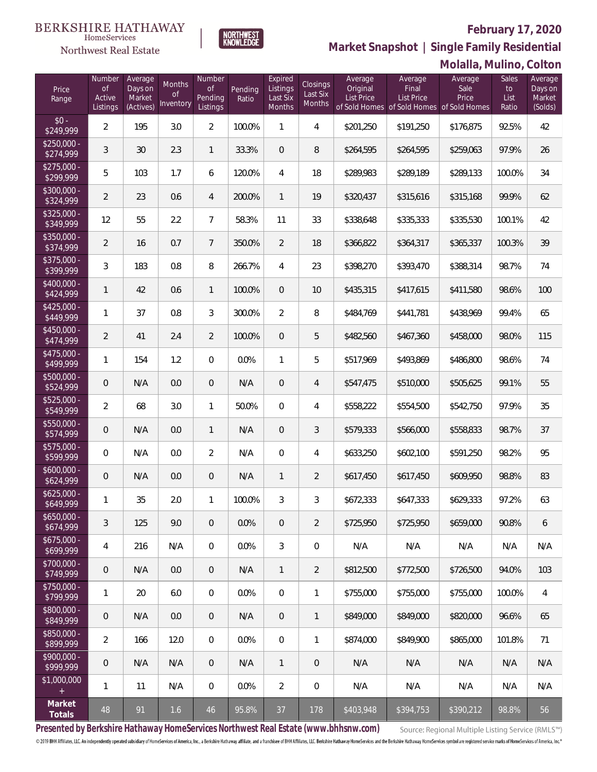### **February 17, 2020**



NORTHWEST<br>KNOWLEDGE

Northwest Real Estate

**Market Snapshot | Single Family Residential**

|                           |                                           |                                           |                                      |                                            |                  |                                           |                                |                                          |                                                                                    | Molalla, Mulino, Colton  |                              |                                         |
|---------------------------|-------------------------------------------|-------------------------------------------|--------------------------------------|--------------------------------------------|------------------|-------------------------------------------|--------------------------------|------------------------------------------|------------------------------------------------------------------------------------|--------------------------|------------------------------|-----------------------------------------|
| Price<br>Range            | Number<br><b>of</b><br>Active<br>Listings | Average<br>Days on<br>Market<br>(Actives) | Months<br><sub>of</sub><br>Inventory | Number<br><b>of</b><br>Pending<br>Listings | Pending<br>Ratio | Expired<br>Listings<br>Last Six<br>Months | Closings<br>Last Six<br>Months | Average<br>Original<br><b>List Price</b> | Average<br>Final<br><b>List Price</b><br>of Sold Homes of Sold Homes of Sold Homes | Average<br>Sale<br>Price | Sales<br>to<br>List<br>Ratio | Average<br>Days on<br>Market<br>(Solds) |
| $$0 -$<br>\$249,999       | $\overline{2}$                            | 195                                       | 3.0                                  | $\overline{2}$                             | 100.0%           | $\mathbf{1}$                              | 4                              | \$201,250                                | \$191,250                                                                          | \$176,875                | 92.5%                        | 42                                      |
| $$250,000 -$<br>\$274,999 | 3                                         | 30                                        | 2.3                                  | $\mathbf{1}$                               | 33.3%            | $\overline{0}$                            | 8                              | \$264,595                                | \$264,595                                                                          | \$259,063                | 97.9%                        | 26                                      |
| $$275,000 -$<br>\$299,999 | 5                                         | 103                                       | 1.7                                  | 6                                          | 120.0%           | $\overline{4}$                            | 18                             | \$289,983                                | \$289,189                                                                          | \$289,133                | 100.0%                       | 34                                      |
| \$300,000 -<br>\$324,999  | $\overline{2}$                            | 23                                        | 0.6                                  | 4                                          | 200.0%           | $\mathbf{1}$                              | 19                             | \$320,437                                | \$315,616                                                                          | \$315,168                | 99.9%                        | 62                                      |
| $$325,000 -$<br>\$349,999 | 12                                        | 55                                        | 2.2                                  | $\overline{7}$                             | 58.3%            | 11                                        | 33                             | \$338,648                                | \$335,333                                                                          | \$335,530                | 100.1%                       | 42                                      |
| \$350,000 -<br>\$374,999  | $\overline{2}$                            | 16                                        | 0.7                                  | $\overline{7}$                             | 350.0%           | $\overline{2}$                            | 18                             | \$366,822                                | \$364,317                                                                          | \$365,337                | 100.3%                       | 39                                      |
| $$375,000 -$<br>\$399,999 | 3                                         | 183                                       | 0.8                                  | 8                                          | 266.7%           | 4                                         | 23                             | \$398,270                                | \$393,470                                                                          | \$388,314                | 98.7%                        | 74                                      |
| \$400,000 -<br>\$424,999  | $\mathbf{1}$                              | 42                                        | 0.6                                  | $\mathbf{1}$                               | 100.0%           | $\overline{0}$                            | 10                             | \$435,315                                | \$417,615                                                                          | \$411,580                | 98.6%                        | 100                                     |
| $$425,000 -$<br>\$449,999 | $\mathbf{1}$                              | 37                                        | 0.8                                  | 3                                          | 300.0%           | $\overline{2}$                            | 8                              | \$484,769                                | \$441,781                                                                          | \$438,969                | 99.4%                        | 65                                      |
| \$450,000 -<br>\$474,999  | $\overline{2}$                            | 41                                        | 2.4                                  | $\overline{2}$                             | 100.0%           | $\mathbf 0$                               | 5                              | \$482,560                                | \$467,360                                                                          | \$458,000                | 98.0%                        | 115                                     |
| \$475,000 -<br>\$499,999  | $\mathbf{1}$                              | 154                                       | 1.2                                  | $\overline{0}$                             | 0.0%             | 1                                         | 5                              | \$517,969                                | \$493,869                                                                          | \$486,800                | 98.6%                        | 74                                      |
| \$500,000 -<br>\$524,999  | $\theta$                                  | N/A                                       | 0.0                                  | 0                                          | N/A              | 0                                         | 4                              | \$547,475                                | \$510,000                                                                          | \$505,625                | 99.1%                        | 55                                      |
| \$525,000 -<br>\$549,999  | $\overline{2}$                            | 68                                        | 3.0                                  | $\mathbf{1}$                               | 50.0%            | 0                                         | 4                              | \$558,222                                | \$554,500                                                                          | \$542,750                | 97.9%                        | 35                                      |
| $$550,000 -$<br>\$574,999 | $\mathsf{O}\xspace$                       | N/A                                       | 0.0                                  | $\mathbf{1}$                               | N/A              | 0                                         | 3                              | \$579,333                                | \$566,000                                                                          | \$558,833                | 98.7%                        | 37                                      |
| $$575,000 -$<br>\$599,999 | $\overline{0}$                            | N/A                                       | 0.0                                  | $\overline{2}$                             | N/A              | 0                                         | 4                              | \$633,250                                | \$602,100                                                                          | \$591,250                | 98.2%                        | 95                                      |
| $$600,000 -$<br>\$624,999 | 0                                         | N/A                                       | 0.0                                  | 0                                          | N/A              | $\mathbf{1}$                              | $\overline{2}$                 | \$617,450                                | \$617,450                                                                          | \$609,950                | 98.8%                        | 83                                      |
| \$625,000.<br>\$649,999   | $\mathbf{1}$                              | 35                                        | 2.0                                  | 1                                          | 100.0%           | 3                                         | 3                              | \$672,333                                | \$647,333                                                                          | \$629,333                | 97.2%                        | 63                                      |
| $$650,000 -$<br>\$674,999 | 3                                         | 125                                       | 9.0                                  | $\theta$                                   | 0.0%             | 0                                         | $\overline{2}$                 | \$725,950                                | \$725,950                                                                          | \$659,000                | 90.8%                        | 6                                       |
| $$675,000 -$<br>\$699,999 | 4                                         | 216                                       | N/A                                  | 0                                          | 0.0%             | 3                                         | 0                              | N/A                                      | N/A                                                                                | N/A                      | N/A                          | N/A                                     |
| $$700.000 -$<br>\$749,999 | $\mathbf 0$                               | N/A                                       | 0.0                                  | $\overline{0}$                             | N/A              | $\mathbf{1}$                              | 2                              | \$812,500                                | \$772,500                                                                          | \$726,500                | 94.0%                        | 103                                     |
| $$750,000 -$<br>\$799,999 | 1                                         | 20                                        | 6.0                                  | $\overline{0}$                             | 0.0%             | 0                                         | 1                              | \$755,000                                | \$755,000                                                                          | \$755,000                | 100.0%                       | 4                                       |
| $$800,000 -$<br>\$849,999 | $\mathbf 0$                               | N/A                                       | 0.0                                  | $\theta$                                   | N/A              | 0                                         | 1                              | \$849,000                                | \$849,000                                                                          | \$820,000                | 96.6%                        | 65                                      |
| \$850,000 -<br>\$899,999  | $\overline{2}$                            | 166                                       | 12.0                                 | $\overline{0}$                             | 0.0%             | $\mathbf{0}$                              | 1                              | \$874,000                                | \$849,900                                                                          | \$865,000                | 101.8%                       | 71                                      |
| $$900.000 -$<br>\$999,999 | $\theta$                                  | N/A                                       | N/A                                  | $\overline{0}$                             | N/A              | $\mathbf{1}$                              | 0                              | N/A                                      | N/A                                                                                | N/A                      | N/A                          | N/A                                     |
| \$1,000,000<br>$+$        | 1                                         | 11                                        | N/A                                  | 0                                          | 0.0%             | $\overline{2}$                            | 0                              | N/A                                      | N/A                                                                                | N/A                      | N/A                          | N/A                                     |
| Market<br>Totals          | 48                                        | 91                                        | 1.6                                  | 46                                         | 95.8%            | 37                                        | 178                            | \$403,948                                | \$394,753                                                                          | \$390,212                | 98.8%                        | 56                                      |

**Presented by Berkshire Hathaway HomeServices Northwest Real Estate (www.bhhsnw.com)**

Source: Regional Multiple Listing Service (RMLS™)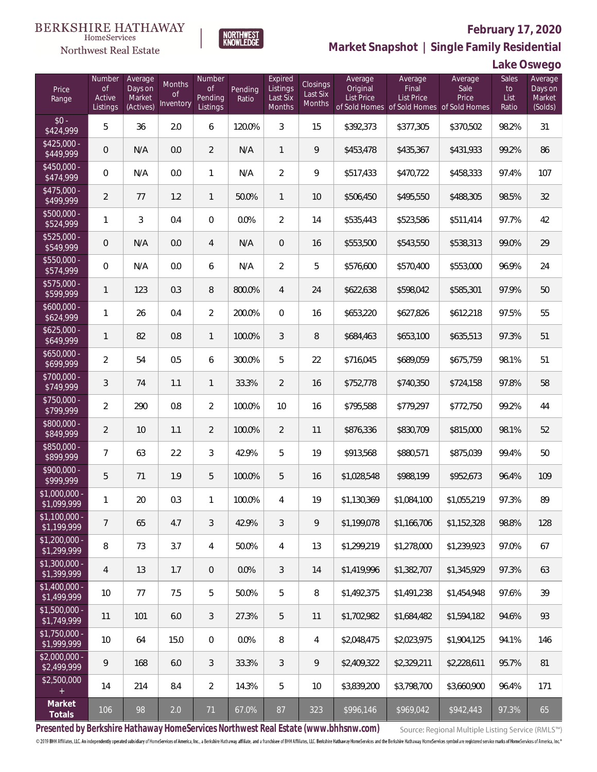### **BERKSHIRE HATHAWAY**  $\label{lem:sevices} \textsc{Home} \textsc{Service} \textsc{s}$



# **February 17, 2020 Market Snapshot | Single Family Residential**

**Lake Oswego**

| Price<br>Range                | Number<br>$\circ f$<br>Active<br>Listings | Average<br>Days on<br>Market<br>(Actives) | Months<br>Οf<br>Inventory | Number<br><b>of</b><br>Pending<br>Listings | Pending<br>Ratio | Expired<br>Listings<br>Last Six<br><b>Months</b> | <b>Closings</b><br>Last Six<br>Months | Average<br>Original<br>List Price | Average<br>Final<br><b>List Price</b> | Average<br>Sale<br>Price<br>of Sold Homes of Sold Homes of Sold Homes | Sales<br>to<br>List<br>Ratio | Average<br>Days on<br>Market<br>(Solds) |
|-------------------------------|-------------------------------------------|-------------------------------------------|---------------------------|--------------------------------------------|------------------|--------------------------------------------------|---------------------------------------|-----------------------------------|---------------------------------------|-----------------------------------------------------------------------|------------------------------|-----------------------------------------|
| $$0 -$<br>\$424,999           | 5                                         | 36                                        | 2.0                       | 6                                          | 120.0%           | 3                                                | 15                                    | \$392,373                         | \$377,305                             | \$370,502                                                             | 98.2%                        | 31                                      |
| $$425,000 -$<br>\$449,999     | $\mathbf 0$                               | N/A                                       | 0.0                       | $\overline{2}$                             | N/A              | $\mathbf{1}$                                     | 9                                     | \$453,478                         | \$435,367                             | \$431,933                                                             | 99.2%                        | 86                                      |
| $$450.000 -$<br>\$474,999     | 0                                         | N/A                                       | 0.0                       | $\mathbf{1}$                               | N/A              | $\overline{2}$                                   | 9                                     | \$517,433                         | \$470,722                             | \$458,333                                                             | 97.4%                        | 107                                     |
| $$475,000 -$<br>\$499,999     | $\overline{2}$                            | 77                                        | 1.2                       | $\mathbf{1}$                               | 50.0%            | $\mathbf{1}$                                     | 10                                    | \$506,450                         | \$495,550                             | \$488,305                                                             | 98.5%                        | 32                                      |
| \$500,000 -<br>\$524,999      | 1                                         | 3                                         | 0.4                       | $\overline{0}$                             | 0.0%             | $\overline{2}$                                   | 14                                    | \$535,443                         | \$523,586                             | \$511,414                                                             | 97.7%                        | 42                                      |
| $$525,000 -$<br>\$549,999     | 0                                         | N/A                                       | 0.0                       | 4                                          | N/A              | $\mathbf{0}$                                     | 16                                    | \$553,500                         | \$543,550                             | \$538,313                                                             | 99.0%                        | 29                                      |
| \$550,000 -<br>\$574,999      | 0                                         | N/A                                       | 0.0                       | 6                                          | N/A              | $\overline{2}$                                   | 5                                     | \$576,600                         | \$570,400                             | \$553,000                                                             | 96.9%                        | 24                                      |
| \$575,000 -<br>\$599,999      | 1                                         | 123                                       | 0.3                       | 8                                          | 800.0%           | $\overline{4}$                                   | 24                                    | \$622,638                         | \$598,042                             | \$585,301                                                             | 97.9%                        | 50                                      |
| $$600,000 -$<br>\$624,999     | 1                                         | 26                                        | 0.4                       | $\overline{2}$                             | 200.0%           | $\overline{0}$                                   | 16                                    | \$653,220                         | \$627,826                             | \$612,218                                                             | 97.5%                        | 55                                      |
| $$625,000 -$<br>\$649,999     | 1                                         | 82                                        | 0.8                       | 1                                          | 100.0%           | 3                                                | $\, 8$                                | \$684,463                         | \$653,100                             | \$635,513                                                             | 97.3%                        | 51                                      |
| $$650,000 -$<br>\$699,999     | $\overline{2}$                            | 54                                        | 0.5                       | 6                                          | 300.0%           | 5                                                | 22                                    | \$716,045                         | \$689,059                             | \$675,759                                                             | 98.1%                        | 51                                      |
| \$700,000 -<br>\$749,999      | $\sqrt{3}$                                | 74                                        | 1.1                       | 1                                          | 33.3%            | $\overline{2}$                                   | 16                                    | \$752,778                         | \$740,350                             | \$724,158                                                             | 97.8%                        | 58                                      |
| \$750,000 -<br>\$799,999      | $\overline{2}$                            | 290                                       | 0.8                       | $\overline{2}$                             | 100.0%           | 10                                               | 16                                    | \$795,588                         | \$779,297                             | \$772,750                                                             | 99.2%                        | 44                                      |
| \$800,000 -<br>\$849,999      | $\overline{2}$                            | 10                                        | 1.1                       | $\overline{2}$                             | 100.0%           | $\overline{2}$                                   | 11                                    | \$876,336                         | \$830,709                             | \$815,000                                                             | 98.1%                        | 52                                      |
| \$850,000 -<br>\$899,999      | 7                                         | 63                                        | 2.2                       | 3                                          | 42.9%            | 5                                                | 19                                    | \$913,568                         | \$880,571                             | \$875,039                                                             | 99.4%                        | 50                                      |
| \$900,000 -<br>\$999,999      | 5                                         | 71                                        | 1.9                       | 5                                          | 100.0%           | 5                                                | 16                                    | \$1,028,548                       | \$988,199                             | \$952,673                                                             | 96.4%                        | 109                                     |
| \$1,000,000 -<br>\$1,099,999  | 1                                         | 20                                        | 0.3                       | 1                                          | 100.0%           | 4                                                | 19                                    | \$1,130,369                       | \$1,084,100                           | \$1,055,219                                                           | 97.3%                        | 89                                      |
| $$1,100,000$ -<br>\$1,199,999 | $\overline{7}$                            | 65                                        | 4.7                       | 3                                          | 42.9%            | 3                                                | 9                                     | \$1,199,078                       | \$1,166,706                           | \$1,152,328                                                           | 98.8%                        | 128                                     |
| $$1,200,000 -$<br>\$1,299,999 | 8                                         | 73                                        | 3.7                       | 4                                          | 50.0%            | 4                                                | 13                                    | \$1,299,219                       | \$1,278,000                           | \$1,239,923                                                           | 97.0%                        | 67                                      |
| $$1,300,000 -$<br>\$1,399,999 | $\overline{4}$                            | 13                                        | 1.7                       | $\overline{0}$                             | 0.0%             | 3                                                | 14                                    | \$1,419,996                       | \$1,382,707                           | \$1,345,929                                                           | 97.3%                        | 63                                      |
| $$1,400,000 -$<br>\$1,499,999 | 10                                        | 77                                        | 7.5                       | 5                                          | 50.0%            | 5                                                | 8                                     | \$1,492,375                       | \$1,491,238                           | \$1,454,948                                                           | 97.6%                        | 39                                      |
| \$1,500,000 -<br>\$1,749,999  | 11                                        | 101                                       | 6.0                       | 3                                          | 27.3%            | 5                                                | 11                                    | \$1,702,982                       | \$1,684,482                           | \$1,594,182                                                           | 94.6%                        | 93                                      |
| $$1,750,000 -$<br>\$1,999,999 | 10                                        | 64                                        | 15.0                      | $\mathbf{0}$                               | 0.0%             | 8                                                | 4                                     | \$2,048,475                       | \$2,023,975                           | \$1,904,125                                                           | 94.1%                        | 146                                     |
| $$2,000,000 -$<br>\$2,499,999 | 9                                         | 168                                       | 6.0                       | 3                                          | 33.3%            | 3                                                | 9                                     | \$2,409,322                       | \$2,329,211                           | \$2,228,611                                                           | 95.7%                        | 81                                      |
| \$2,500,000                   | 14                                        | 214                                       | 8.4                       | $\overline{2}$                             | 14.3%            | 5                                                | 10                                    | \$3,839,200                       | \$3,798,700                           | \$3,660,900                                                           | 96.4%                        | 171                                     |
| Market<br>Totals              | 106                                       | 98                                        | 2.0                       | 71                                         | 67.0%            | 87                                               | 323                                   | \$996,146                         | \$969,042                             | \$942,443                                                             | 97.3%                        | 65                                      |

**NORTHWEST**<br>KNOWLEDGE

**Presented by Berkshire Hathaway HomeServices Northwest Real Estate (www.bhhsnw.com)**

Source: Regional Multiple Listing Service (RMLS™)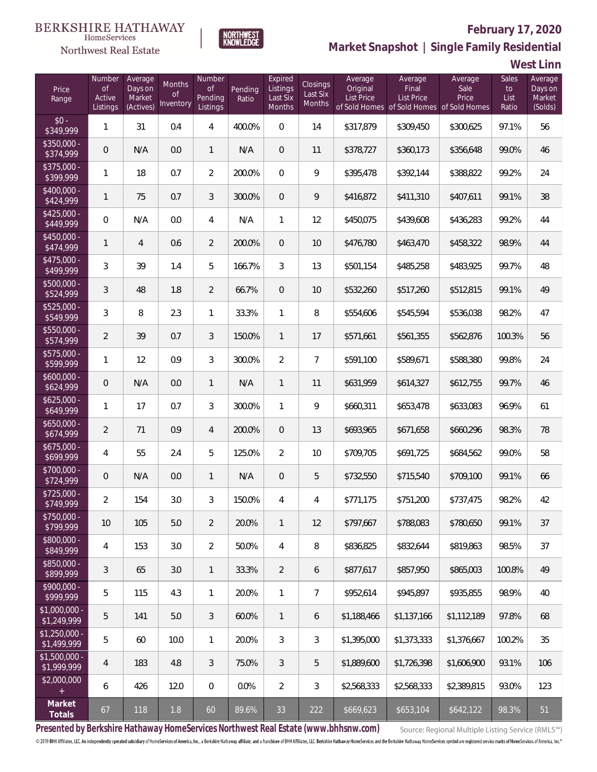# Northwest Real Estate



# **February 17, 2020**

**Market Snapshot | Single Family Residential**

**West Linn**

| Price<br>Range                    | Number<br>of<br>Active<br>Listings | Average<br>Days on<br>Market<br>(Actives) | Months<br>0f<br>Inventory | Number<br>Οf<br>Pending<br>Listings | Pending<br>Ratio | Expired<br>Listings<br>Last Six<br><b>Months</b> | Closings<br>Last Six<br>Months | Average<br>Original<br>List Price | Average<br>Final<br>List Price<br>of Sold Homes of Sold Homes of Sold Homes | Average<br>Sale<br>Price | Sales<br>to<br>List<br>Ratio | Average<br>Days on<br>Market<br>(Solds) |
|-----------------------------------|------------------------------------|-------------------------------------------|---------------------------|-------------------------------------|------------------|--------------------------------------------------|--------------------------------|-----------------------------------|-----------------------------------------------------------------------------|--------------------------|------------------------------|-----------------------------------------|
| $$0 -$<br>\$349,999               | 1                                  | 31                                        | 0.4                       | 4                                   | 400.0%           | 0                                                | 14                             | \$317,879                         | \$309,450                                                                   | \$300,625                | 97.1%                        | 56                                      |
| $$350.000 -$<br>\$374,999         | $\mathbf 0$                        | N/A                                       | 0.0                       | $\mathbf{1}$                        | N/A              | $\overline{0}$                                   | 11                             | \$378,727                         | \$360,173                                                                   | \$356,648                | 99.0%                        | 46                                      |
| $$375,000 -$<br>\$399,999         | 1                                  | 18                                        | 0.7                       | $\overline{2}$                      | 200.0%           | 0                                                | 9                              | \$395,478                         | \$392,144                                                                   | \$388,822                | 99.2%                        | 24                                      |
| $$400.000 -$<br>\$424,999         | 1                                  | 75                                        | 0.7                       | 3                                   | 300.0%           | $\overline{0}$                                   | 9                              | \$416,872                         | \$411,310                                                                   | \$407,611                | 99.1%                        | 38                                      |
| $$425,000 -$<br>\$449,999         | 0                                  | N/A                                       | 0.0                       | 4                                   | N/A              | 1                                                | 12                             | \$450,075                         | \$439,608                                                                   | \$436,283                | 99.2%                        | 44                                      |
| $$450,000 -$<br>\$474,999         | 1                                  | 4                                         | 0.6                       | $\overline{2}$                      | 200.0%           | $\overline{0}$                                   | 10                             | \$476,780                         | \$463,470                                                                   | \$458,322                | 98.9%                        | 44                                      |
| $$475,000 -$<br>\$499,999         | 3                                  | 39                                        | 1.4                       | 5                                   | 166.7%           | 3                                                | 13                             | \$501,154                         | \$485,258                                                                   | \$483,925                | 99.7%                        | 48                                      |
| $$500,000 -$<br>\$524,999         | 3                                  | 48                                        | 1.8                       | $\overline{2}$                      | 66.7%            | $\overline{0}$                                   | 10                             | \$532,260                         | \$517,260                                                                   | \$512,815                | 99.1%                        | 49                                      |
| $$525,000 -$<br>\$549,999         | 3                                  | 8                                         | 2.3                       | $\mathbf{1}$                        | 33.3%            | 1                                                | 8                              | \$554,606                         | \$545,594                                                                   | \$536,038                | 98.2%                        | 47                                      |
| \$550,000 -<br>\$574,999          | 2                                  | 39                                        | 0.7                       | 3                                   | 150.0%           | $\mathbf{1}$                                     | 17                             | \$571,661                         | \$561,355                                                                   | \$562,876                | 100.3%                       | 56                                      |
| $$575,000 -$<br>\$599,999         | 1                                  | 12                                        | 0.9                       | 3                                   | 300.0%           | $\overline{2}$                                   | $\overline{7}$                 | \$591,100                         | \$589,671                                                                   | \$588,380                | 99.8%                        | 24                                      |
| $$600,000 -$<br>\$624,999         | 0                                  | N/A                                       | 0.0                       | $\mathbf{1}$                        | N/A              | $\mathbf{1}$                                     | 11                             | \$631,959                         | \$614,327                                                                   | \$612,755                | 99.7%                        | 46                                      |
| $$625,000 -$<br>\$649,999         | 1                                  | 17                                        | 0.7                       | 3                                   | 300.0%           | $\mathbf{1}$                                     | 9                              | \$660,311                         | \$653,478                                                                   | \$633,083                | 96.9%                        | 61                                      |
| $$650,000 -$<br>\$674,999         | $\overline{2}$                     | 71                                        | 0.9                       | 4                                   | 200.0%           | $\overline{0}$                                   | 13                             | \$693,965                         | \$671,658                                                                   | \$660,296                | 98.3%                        | 78                                      |
| $$675,000 -$<br>\$699,999         | 4                                  | 55                                        | 2.4                       | 5                                   | 125.0%           | $\overline{2}$                                   | 10                             | \$709,705                         | \$691,725                                                                   | \$684,562                | 99.0%                        | 58                                      |
| \$700,000 -<br>\$724,999          | 0                                  | N/A                                       | 0.0                       | $\mathbf{1}$                        | N/A              | $\overline{0}$                                   | 5                              | \$732,550                         | \$715,540                                                                   | \$709,100                | 99.1%                        | 66                                      |
| \$725,000 -<br>\$749,999          | 2                                  | 154                                       | 3.0                       | 3                                   | 150.0%           | 4                                                | 4                              | \$771,175                         | \$751,200                                                                   | \$737,475                | 98.2%                        | 42                                      |
| $$750,000 -$<br>\$799,999         | 10                                 | 105                                       | 5.0                       | $\overline{2}$                      | 20.0%            | $\mathbf{1}$                                     | 12                             | \$797,667                         | \$788,083                                                                   | \$780,650                | 99.1%                        | 37                                      |
| $$800,000 -$<br>\$849,999         | 4                                  | 153                                       | 3.0                       | $\overline{2}$                      | 50.0%            | 4                                                | 8                              | \$836,825                         | \$832,644                                                                   | \$819,863                | 98.5%                        | 37                                      |
| $$850,000 -$<br>\$899,999         | 3                                  | 65                                        | 3.0                       | $\mathbf{1}$                        | 33.3%            | 2                                                | 6                              | \$877,617                         | \$857,950                                                                   | \$865,003                | 100.8%                       | 49                                      |
| $$900,000 -$<br>$\sqrt{2999,999}$ | 5                                  | 115                                       | 4.3                       | $\mathbf{1}$                        | 20.0%            | $\mathbf{1}$                                     | $\overline{7}$                 | \$952,614                         | \$945,897                                                                   | \$935,855                | 98.9%                        | 40                                      |
| \$1,000,000 -<br>\$1,249,999      | 5                                  | 141                                       | 5.0                       | 3                                   | 60.0%            | $\mathbf{1}$                                     | 6                              | \$1,188,466                       | \$1,137,166                                                                 | \$1,112,189              | 97.8%                        | 68                                      |
| $$1,250,000 -$<br>\$1,499,999     | 5                                  | 60                                        | 10.0                      | $\mathbf{1}$                        | 20.0%            | 3                                                | 3                              | \$1,395,000                       | \$1,373,333                                                                 | \$1,376,667              | 100.2%                       | 35                                      |
| $$1,500,000 -$<br>\$1,999,999     | $\overline{4}$                     | 183                                       | 4.8                       | 3                                   | 75.0%            | 3                                                | 5                              | \$1,889,600                       | \$1,726,398                                                                 | \$1,606,900              | 93.1%                        | 106                                     |
| \$2,000,000                       | 6                                  | 426                                       | 12.0                      | $\overline{0}$                      | 0.0%             | $\overline{2}$                                   | 3                              | \$2,568,333                       | \$2,568,333                                                                 | \$2,389,815              | 93.0%                        | 123                                     |
| Market<br>Totals                  | 67                                 | 118                                       | 1.8                       | 60                                  | 89.6%            | 33                                               | 222                            | \$669,623                         | \$653,104                                                                   | \$642,122                | 98.3%                        | 51                                      |

**Presented by Berkshire Hathaway HomeServices Northwest Real Estate (www.bhhsnw.com)**

Source: Regional Multiple Listing Service (RMLS™)